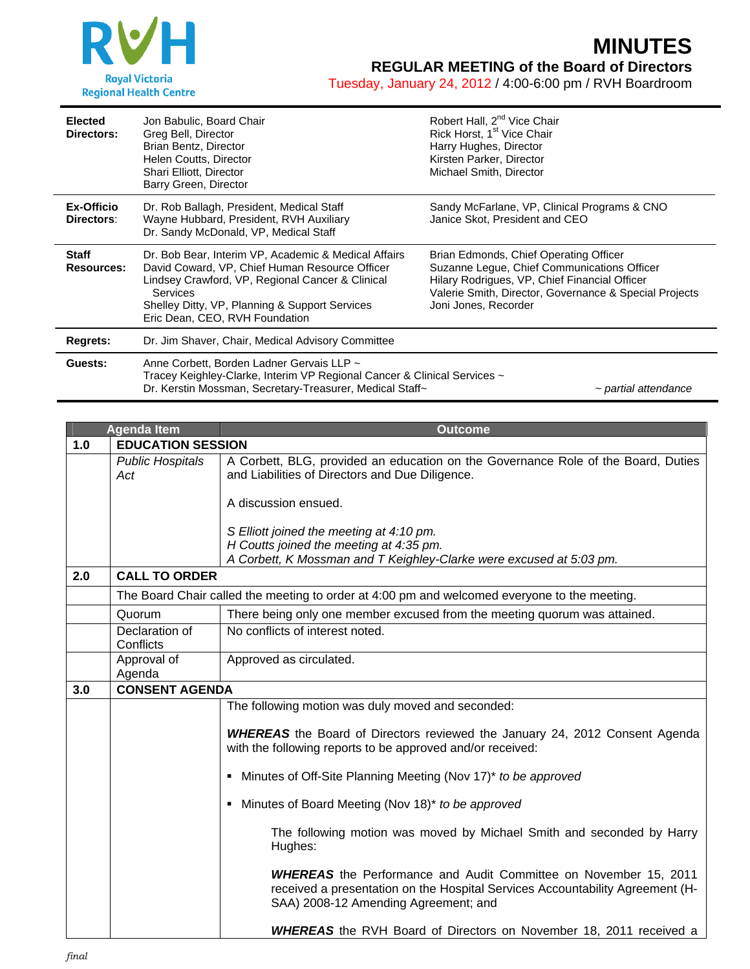

Tuesday, January 24, 2012 / 4:00-6:00 pm / RVH Boardroom

| <b>Elected</b><br>Directors:      | Jon Babulic, Board Chair<br>Greg Bell, Director<br>Brian Bentz, Director<br>Helen Coutts, Director<br>Shari Elliott, Director<br>Barry Green, Director                                                                                                            | Robert Hall, 2 <sup>nd</sup> Vice Chair<br>Rick Horst, 1 <sup>st</sup> Vice Chair<br>Harry Hughes, Director<br>Kirsten Parker, Director<br>Michael Smith, Director                                                       |
|-----------------------------------|-------------------------------------------------------------------------------------------------------------------------------------------------------------------------------------------------------------------------------------------------------------------|--------------------------------------------------------------------------------------------------------------------------------------------------------------------------------------------------------------------------|
| Ex-Officio<br>Directors:          | Dr. Rob Ballagh, President, Medical Staff<br>Wayne Hubbard, President, RVH Auxiliary<br>Dr. Sandy McDonald, VP, Medical Staff                                                                                                                                     | Sandy McFarlane, VP, Clinical Programs & CNO<br>Janice Skot, President and CEO                                                                                                                                           |
| <b>Staff</b><br><b>Resources:</b> | Dr. Bob Bear, Interim VP, Academic & Medical Affairs<br>David Coward, VP, Chief Human Resource Officer<br>Lindsey Crawford, VP, Regional Cancer & Clinical<br><b>Services</b><br>Shelley Ditty, VP, Planning & Support Services<br>Eric Dean, CEO, RVH Foundation | Brian Edmonds, Chief Operating Officer<br>Suzanne Legue, Chief Communications Officer<br>Hilary Rodrigues, VP, Chief Financial Officer<br>Valerie Smith, Director, Governance & Special Projects<br>Joni Jones, Recorder |
| Regrets:                          | Dr. Jim Shaver, Chair, Medical Advisory Committee                                                                                                                                                                                                                 |                                                                                                                                                                                                                          |
| Guests:                           | Anne Corbett, Borden Ladner Gervais LLP ~<br>Tracey Keighley-Clarke, Interim VP Regional Cancer & Clinical Services ~<br>Dr. Kerstin Mossman, Secretary-Treasurer, Medical Staff~<br>~ partial attendance                                                         |                                                                                                                                                                                                                          |

|     | <b>Agenda Item</b>                                                                           | <b>Outcome</b>                                                                                                                                                                                   |  |
|-----|----------------------------------------------------------------------------------------------|--------------------------------------------------------------------------------------------------------------------------------------------------------------------------------------------------|--|
| 1.0 | <b>EDUCATION SESSION</b>                                                                     |                                                                                                                                                                                                  |  |
|     | <b>Public Hospitals</b><br>Act                                                               | A Corbett, BLG, provided an education on the Governance Role of the Board, Duties<br>and Liabilities of Directors and Due Diligence.                                                             |  |
|     |                                                                                              | A discussion ensued.                                                                                                                                                                             |  |
|     |                                                                                              | S Elliott joined the meeting at 4:10 pm.                                                                                                                                                         |  |
|     |                                                                                              | H Coutts joined the meeting at 4:35 pm.                                                                                                                                                          |  |
|     |                                                                                              | A Corbett, K Mossman and T Keighley-Clarke were excused at 5:03 pm.                                                                                                                              |  |
| 2.0 | <b>CALL TO ORDER</b>                                                                         |                                                                                                                                                                                                  |  |
|     | The Board Chair called the meeting to order at 4:00 pm and welcomed everyone to the meeting. |                                                                                                                                                                                                  |  |
|     | Quorum                                                                                       | There being only one member excused from the meeting quorum was attained.                                                                                                                        |  |
|     | Declaration of<br>Conflicts                                                                  | No conflicts of interest noted.                                                                                                                                                                  |  |
|     | Approval of<br>Agenda                                                                        | Approved as circulated.                                                                                                                                                                          |  |
| 3.0 | <b>CONSENT AGENDA</b>                                                                        |                                                                                                                                                                                                  |  |
|     |                                                                                              | The following motion was duly moved and seconded:                                                                                                                                                |  |
|     |                                                                                              | <b>WHEREAS</b> the Board of Directors reviewed the January 24, 2012 Consent Agenda<br>with the following reports to be approved and/or received:                                                 |  |
|     |                                                                                              | • Minutes of Off-Site Planning Meeting (Nov 17)* to be approved                                                                                                                                  |  |
|     |                                                                                              | Minutes of Board Meeting (Nov 18)* to be approved                                                                                                                                                |  |
|     |                                                                                              | The following motion was moved by Michael Smith and seconded by Harry<br>Hughes:                                                                                                                 |  |
|     |                                                                                              | <b>WHEREAS</b> the Performance and Audit Committee on November 15, 2011<br>received a presentation on the Hospital Services Accountability Agreement (H-<br>SAA) 2008-12 Amending Agreement; and |  |
|     |                                                                                              | <b>WHEREAS</b> the RVH Board of Directors on November 18, 2011 received a                                                                                                                        |  |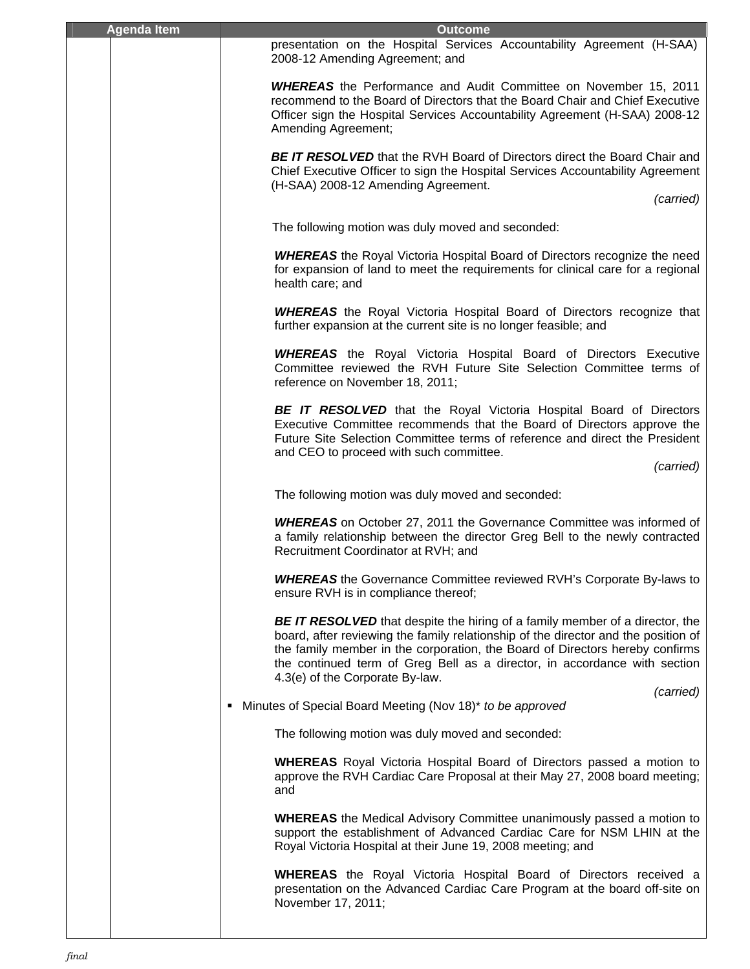| <b>Agenda Item</b> | <b>Outcome</b>                                                                                                                                                                                                                                                                                                                                                            |
|--------------------|---------------------------------------------------------------------------------------------------------------------------------------------------------------------------------------------------------------------------------------------------------------------------------------------------------------------------------------------------------------------------|
|                    | presentation on the Hospital Services Accountability Agreement (H-SAA)<br>2008-12 Amending Agreement; and                                                                                                                                                                                                                                                                 |
|                    | <b>WHEREAS</b> the Performance and Audit Committee on November 15, 2011<br>recommend to the Board of Directors that the Board Chair and Chief Executive<br>Officer sign the Hospital Services Accountability Agreement (H-SAA) 2008-12<br>Amending Agreement;                                                                                                             |
|                    | <b>BE IT RESOLVED</b> that the RVH Board of Directors direct the Board Chair and<br>Chief Executive Officer to sign the Hospital Services Accountability Agreement<br>(H-SAA) 2008-12 Amending Agreement.<br>(carried)                                                                                                                                                    |
|                    | The following motion was duly moved and seconded:                                                                                                                                                                                                                                                                                                                         |
|                    | <b>WHEREAS</b> the Royal Victoria Hospital Board of Directors recognize the need<br>for expansion of land to meet the requirements for clinical care for a regional<br>health care; and                                                                                                                                                                                   |
|                    | <b>WHEREAS</b> the Royal Victoria Hospital Board of Directors recognize that<br>further expansion at the current site is no longer feasible; and                                                                                                                                                                                                                          |
|                    | <b>WHEREAS</b> the Royal Victoria Hospital Board of Directors Executive<br>Committee reviewed the RVH Future Site Selection Committee terms of<br>reference on November 18, 2011;                                                                                                                                                                                         |
|                    | <b>BE IT RESOLVED</b> that the Royal Victoria Hospital Board of Directors<br>Executive Committee recommends that the Board of Directors approve the<br>Future Site Selection Committee terms of reference and direct the President<br>and CEO to proceed with such committee.<br>(carried)                                                                                |
|                    | The following motion was duly moved and seconded:                                                                                                                                                                                                                                                                                                                         |
|                    | <b>WHEREAS</b> on October 27, 2011 the Governance Committee was informed of<br>a family relationship between the director Greg Bell to the newly contracted<br>Recruitment Coordinator at RVH; and                                                                                                                                                                        |
|                    | <b>WHEREAS</b> the Governance Committee reviewed RVH's Corporate By-laws to<br>ensure RVH is in compliance thereof;                                                                                                                                                                                                                                                       |
|                    | <b>BE IT RESOLVED</b> that despite the hiring of a family member of a director, the<br>board, after reviewing the family relationship of the director and the position of<br>the family member in the corporation, the Board of Directors hereby confirms<br>the continued term of Greg Bell as a director, in accordance with section<br>4.3(e) of the Corporate By-law. |
|                    | (carried)<br>• Minutes of Special Board Meeting (Nov 18)* to be approved                                                                                                                                                                                                                                                                                                  |
|                    | The following motion was duly moved and seconded:                                                                                                                                                                                                                                                                                                                         |
|                    | <b>WHEREAS</b> Royal Victoria Hospital Board of Directors passed a motion to<br>approve the RVH Cardiac Care Proposal at their May 27, 2008 board meeting;<br>and                                                                                                                                                                                                         |
|                    | <b>WHEREAS</b> the Medical Advisory Committee unanimously passed a motion to<br>support the establishment of Advanced Cardiac Care for NSM LHIN at the<br>Royal Victoria Hospital at their June 19, 2008 meeting; and                                                                                                                                                     |
|                    | <b>WHEREAS</b> the Royal Victoria Hospital Board of Directors received a<br>presentation on the Advanced Cardiac Care Program at the board off-site on<br>November 17, 2011;                                                                                                                                                                                              |
|                    |                                                                                                                                                                                                                                                                                                                                                                           |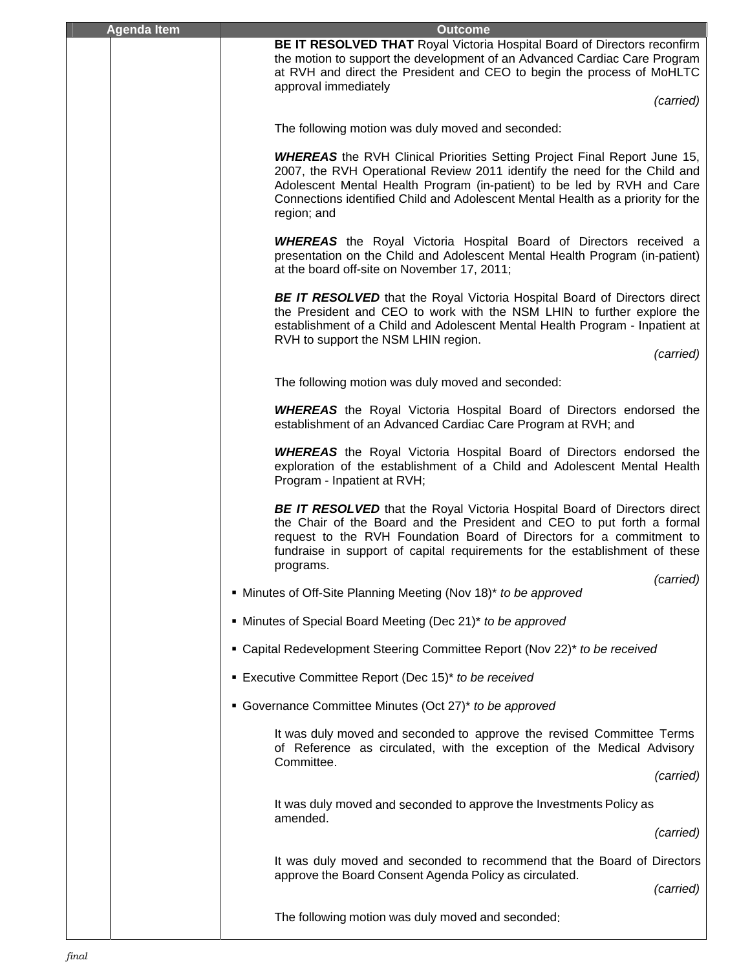| <b>Agenda Item</b> | <b>Outcome</b>                                                                                                                                                                                                                                                                                                                             |
|--------------------|--------------------------------------------------------------------------------------------------------------------------------------------------------------------------------------------------------------------------------------------------------------------------------------------------------------------------------------------|
|                    | BE IT RESOLVED THAT Royal Victoria Hospital Board of Directors reconfirm<br>the motion to support the development of an Advanced Cardiac Care Program<br>at RVH and direct the President and CEO to begin the process of MoHLTC<br>approval immediately<br>(carried)                                                                       |
|                    | The following motion was duly moved and seconded:                                                                                                                                                                                                                                                                                          |
|                    |                                                                                                                                                                                                                                                                                                                                            |
|                    | <b>WHEREAS</b> the RVH Clinical Priorities Setting Project Final Report June 15,<br>2007, the RVH Operational Review 2011 identify the need for the Child and<br>Adolescent Mental Health Program (in-patient) to be led by RVH and Care<br>Connections identified Child and Adolescent Mental Health as a priority for the<br>region; and |
|                    | <b>WHEREAS</b> the Royal Victoria Hospital Board of Directors received a<br>presentation on the Child and Adolescent Mental Health Program (in-patient)<br>at the board off-site on November 17, 2011;                                                                                                                                     |
|                    | <b>BE IT RESOLVED</b> that the Royal Victoria Hospital Board of Directors direct<br>the President and CEO to work with the NSM LHIN to further explore the<br>establishment of a Child and Adolescent Mental Health Program - Inpatient at                                                                                                 |
|                    | RVH to support the NSM LHIN region.<br>(carried)                                                                                                                                                                                                                                                                                           |
|                    | The following motion was duly moved and seconded:                                                                                                                                                                                                                                                                                          |
|                    | <b>WHEREAS</b> the Royal Victoria Hospital Board of Directors endorsed the<br>establishment of an Advanced Cardiac Care Program at RVH; and                                                                                                                                                                                                |
|                    | <b>WHEREAS</b> the Royal Victoria Hospital Board of Directors endorsed the<br>exploration of the establishment of a Child and Adolescent Mental Health<br>Program - Inpatient at RVH;                                                                                                                                                      |
|                    | <b>BE IT RESOLVED</b> that the Royal Victoria Hospital Board of Directors direct<br>the Chair of the Board and the President and CEO to put forth a formal<br>request to the RVH Foundation Board of Directors for a commitment to<br>fundraise in support of capital requirements for the establishment of these<br>programs.             |
|                    | (carried)<br>• Minutes of Off-Site Planning Meeting (Nov 18)* to be approved                                                                                                                                                                                                                                                               |
|                    | • Minutes of Special Board Meeting (Dec 21)* to be approved                                                                                                                                                                                                                                                                                |
|                    | • Capital Redevelopment Steering Committee Report (Nov 22)* to be received                                                                                                                                                                                                                                                                 |
|                    |                                                                                                                                                                                                                                                                                                                                            |
|                    | <b>Executive Committee Report (Dec 15)* to be received</b>                                                                                                                                                                                                                                                                                 |
|                    | • Governance Committee Minutes (Oct 27)* to be approved                                                                                                                                                                                                                                                                                    |
|                    | It was duly moved and seconded to approve the revised Committee Terms<br>of Reference as circulated, with the exception of the Medical Advisory<br>Committee.                                                                                                                                                                              |
|                    | (carried)                                                                                                                                                                                                                                                                                                                                  |
|                    | It was duly moved and seconded to approve the Investments Policy as                                                                                                                                                                                                                                                                        |
|                    | amended.<br>(carried)                                                                                                                                                                                                                                                                                                                      |
|                    | It was duly moved and seconded to recommend that the Board of Directors                                                                                                                                                                                                                                                                    |
|                    | approve the Board Consent Agenda Policy as circulated.<br>(carried)                                                                                                                                                                                                                                                                        |
|                    | The following motion was duly moved and seconded:                                                                                                                                                                                                                                                                                          |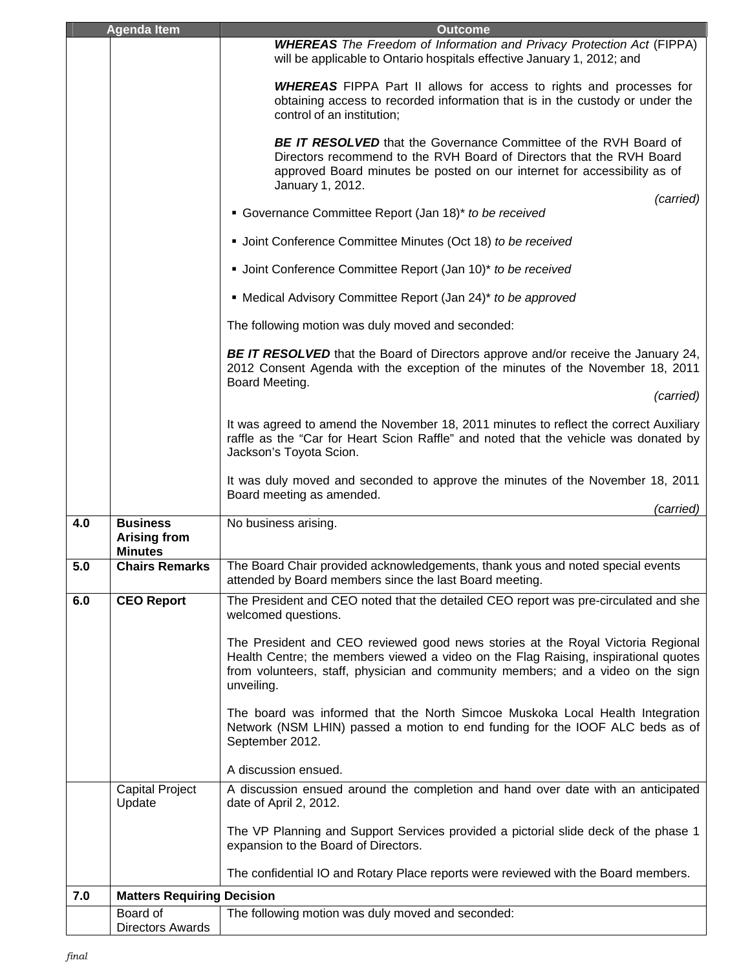|     | <b>Agenda Item</b>                                       | <b>Outcome</b>                                                                                                                                                                                                                                                           |
|-----|----------------------------------------------------------|--------------------------------------------------------------------------------------------------------------------------------------------------------------------------------------------------------------------------------------------------------------------------|
|     |                                                          | <b>WHEREAS</b> The Freedom of Information and Privacy Protection Act (FIPPA)<br>will be applicable to Ontario hospitals effective January 1, 2012; and                                                                                                                   |
|     |                                                          | <b>WHEREAS</b> FIPPA Part II allows for access to rights and processes for<br>obtaining access to recorded information that is in the custody or under the<br>control of an institution;                                                                                 |
|     |                                                          | <b>BE IT RESOLVED</b> that the Governance Committee of the RVH Board of<br>Directors recommend to the RVH Board of Directors that the RVH Board<br>approved Board minutes be posted on our internet for accessibility as of<br>January 1, 2012.                          |
|     |                                                          | (carried)<br>• Governance Committee Report (Jan 18)* to be received                                                                                                                                                                                                      |
|     |                                                          | • Joint Conference Committee Minutes (Oct 18) to be received                                                                                                                                                                                                             |
|     |                                                          | • Joint Conference Committee Report (Jan 10)* to be received                                                                                                                                                                                                             |
|     |                                                          | • Medical Advisory Committee Report (Jan 24)* to be approved                                                                                                                                                                                                             |
|     |                                                          | The following motion was duly moved and seconded:                                                                                                                                                                                                                        |
|     |                                                          | <b>BE IT RESOLVED</b> that the Board of Directors approve and/or receive the January 24,<br>2012 Consent Agenda with the exception of the minutes of the November 18, 2011<br>Board Meeting.                                                                             |
|     |                                                          | (carried)                                                                                                                                                                                                                                                                |
|     |                                                          | It was agreed to amend the November 18, 2011 minutes to reflect the correct Auxiliary<br>raffle as the "Car for Heart Scion Raffle" and noted that the vehicle was donated by<br>Jackson's Toyota Scion.                                                                 |
|     |                                                          | It was duly moved and seconded to approve the minutes of the November 18, 2011<br>Board meeting as amended.                                                                                                                                                              |
|     |                                                          | (carried)                                                                                                                                                                                                                                                                |
| 4.0 | <b>Business</b><br><b>Arising from</b><br><b>Minutes</b> | No business arising.                                                                                                                                                                                                                                                     |
| 5.0 | <b>Chairs Remarks</b>                                    | The Board Chair provided acknowledgements, thank yous and noted special events<br>attended by Board members since the last Board meeting.                                                                                                                                |
| 6.0 | <b>CEO Report</b>                                        | The President and CEO noted that the detailed CEO report was pre-circulated and she<br>welcomed questions.                                                                                                                                                               |
|     |                                                          | The President and CEO reviewed good news stories at the Royal Victoria Regional<br>Health Centre; the members viewed a video on the Flag Raising, inspirational quotes<br>from volunteers, staff, physician and community members; and a video on the sign<br>unveiling. |
|     |                                                          | The board was informed that the North Simcoe Muskoka Local Health Integration<br>Network (NSM LHIN) passed a motion to end funding for the IOOF ALC beds as of<br>September 2012.                                                                                        |
|     |                                                          | A discussion ensued.                                                                                                                                                                                                                                                     |
|     | <b>Capital Project</b><br>Update                         | A discussion ensued around the completion and hand over date with an anticipated<br>date of April 2, 2012.                                                                                                                                                               |
|     |                                                          | The VP Planning and Support Services provided a pictorial slide deck of the phase 1<br>expansion to the Board of Directors.                                                                                                                                              |
|     |                                                          | The confidential IO and Rotary Place reports were reviewed with the Board members.                                                                                                                                                                                       |
| 7.0 | <b>Matters Requiring Decision</b>                        |                                                                                                                                                                                                                                                                          |
|     | Board of<br><b>Directors Awards</b>                      | The following motion was duly moved and seconded:                                                                                                                                                                                                                        |